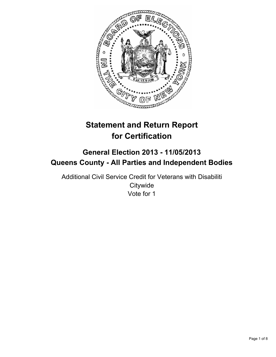

# **Statement and Return Report for Certification**

## **General Election 2013 - 11/05/2013 Queens County - All Parties and Independent Bodies**

Additional Civil Service Credit for Veterans with Disabiliti **Citywide** Vote for 1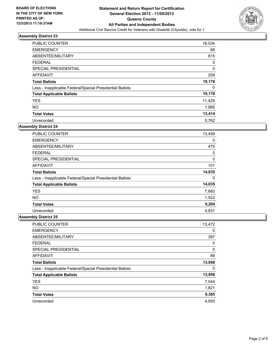

| PUBLIC COUNTER                                           | 18,034      |
|----------------------------------------------------------|-------------|
| <b>EMERGENCY</b>                                         | 68          |
| ABSENTEE/MILITARY                                        | 815         |
| <b>FEDERAL</b>                                           | 0           |
| SPECIAL PRESIDENTIAL                                     | $\mathbf 0$ |
| AFFIDAVIT                                                | 259         |
| <b>Total Ballots</b>                                     | 19,176      |
| Less - Inapplicable Federal/Special Presidential Ballots | 0           |
| <b>Total Applicable Ballots</b>                          | 19,176      |
| <b>YES</b>                                               | 11,429      |
| <b>NO</b>                                                | 1,985       |
| <b>Total Votes</b>                                       | 13,414      |
| Unrecorded                                               | 5,762       |

#### **Assembly District 24**

| <b>PUBLIC COUNTER</b>                                    | 13,459 |
|----------------------------------------------------------|--------|
| <b>EMERGENCY</b>                                         | 0      |
| ABSENTEE/MILITARY                                        | 475    |
| <b>FEDERAL</b>                                           | 0      |
| <b>SPECIAL PRESIDENTIAL</b>                              | 0      |
| AFFIDAVIT                                                | 101    |
| <b>Total Ballots</b>                                     | 14,035 |
| Less - Inapplicable Federal/Special Presidential Ballots | 0      |
| <b>Total Applicable Ballots</b>                          | 14,035 |
| <b>YES</b>                                               | 7,682  |
| <b>NO</b>                                                | 1,522  |
| <b>Total Votes</b>                                       | 9,204  |
| Unrecorded                                               | 4,831  |

| PUBLIC COUNTER                                           | 13,472 |
|----------------------------------------------------------|--------|
| <b>EMERGENCY</b>                                         | 0      |
| ABSENTEE/MILITARY                                        | 397    |
| <b>FEDERAL</b>                                           | 0      |
| SPECIAL PRESIDENTIAL                                     | 0      |
| AFFIDAVIT                                                | 89     |
| <b>Total Ballots</b>                                     | 13,958 |
| Less - Inapplicable Federal/Special Presidential Ballots | 0      |
| <b>Total Applicable Ballots</b>                          | 13,958 |
| <b>YES</b>                                               | 7,544  |
| <b>NO</b>                                                | 1,821  |
| <b>Total Votes</b>                                       | 9,365  |
| Unrecorded                                               | 4.593  |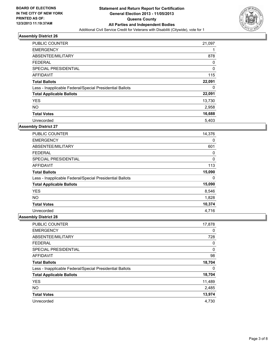

| <b>PUBLIC COUNTER</b>                                    | 21,097 |
|----------------------------------------------------------|--------|
| <b>EMERGENCY</b>                                         |        |
| ABSENTEE/MILITARY                                        | 878    |
| <b>FEDERAL</b>                                           | 0      |
| SPECIAL PRESIDENTIAL                                     | 0      |
| AFFIDAVIT                                                | 115    |
| <b>Total Ballots</b>                                     | 22,091 |
| Less - Inapplicable Federal/Special Presidential Ballots | 0      |
| <b>Total Applicable Ballots</b>                          | 22,091 |
| <b>YES</b>                                               | 13,730 |
| <b>NO</b>                                                | 2,958  |
| <b>Total Votes</b>                                       | 16,688 |
| Unrecorded                                               | 5.403  |

#### **Assembly District 27**

| <b>PUBLIC COUNTER</b>                                    | 14,376 |
|----------------------------------------------------------|--------|
| <b>EMERGENCY</b>                                         | 0      |
| ABSENTEE/MILITARY                                        | 601    |
| <b>FEDERAL</b>                                           | 0      |
| <b>SPECIAL PRESIDENTIAL</b>                              | 0      |
| AFFIDAVIT                                                | 113    |
| <b>Total Ballots</b>                                     | 15,090 |
| Less - Inapplicable Federal/Special Presidential Ballots | 0      |
| <b>Total Applicable Ballots</b>                          | 15,090 |
| <b>YES</b>                                               | 8,546  |
| <b>NO</b>                                                | 1,828  |
| <b>Total Votes</b>                                       | 10,374 |
| Unrecorded                                               | 4,716  |

| <b>PUBLIC COUNTER</b>                                    | 17,878 |
|----------------------------------------------------------|--------|
| <b>EMERGENCY</b>                                         | 0      |
| ABSENTEE/MILITARY                                        | 728    |
| <b>FEDERAL</b>                                           | 0      |
| SPECIAL PRESIDENTIAL                                     | 0      |
| AFFIDAVIT                                                | 98     |
| <b>Total Ballots</b>                                     | 18,704 |
| Less - Inapplicable Federal/Special Presidential Ballots | 0      |
| <b>Total Applicable Ballots</b>                          | 18,704 |
| <b>YES</b>                                               | 11,489 |
| <b>NO</b>                                                | 2,485  |
| <b>Total Votes</b>                                       | 13,974 |
| Unrecorded                                               | 4,730  |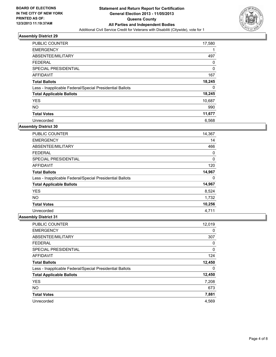

| <b>PUBLIC COUNTER</b>                                    | 17,580       |
|----------------------------------------------------------|--------------|
| <b>EMERGENCY</b>                                         |              |
| ABSENTEE/MILITARY                                        | 497          |
| <b>FEDERAL</b>                                           | 0            |
| SPECIAL PRESIDENTIAL                                     | $\mathbf{0}$ |
| AFFIDAVIT                                                | 167          |
| <b>Total Ballots</b>                                     | 18,245       |
| Less - Inapplicable Federal/Special Presidential Ballots | 0            |
| <b>Total Applicable Ballots</b>                          | 18,245       |
| <b>YES</b>                                               | 10,687       |
| <b>NO</b>                                                | 990          |
| <b>Total Votes</b>                                       | 11,677       |
| Unrecorded                                               | 6,568        |

#### **Assembly District 30**

| PUBLIC COUNTER                                           | 14,367 |
|----------------------------------------------------------|--------|
| <b>EMERGENCY</b>                                         | 14     |
| ABSENTEE/MILITARY                                        | 466    |
| <b>FEDERAL</b>                                           | 0      |
| <b>SPECIAL PRESIDENTIAL</b>                              | 0      |
| <b>AFFIDAVIT</b>                                         | 120    |
| <b>Total Ballots</b>                                     | 14,967 |
| Less - Inapplicable Federal/Special Presidential Ballots | 0      |
| <b>Total Applicable Ballots</b>                          | 14,967 |
| <b>YES</b>                                               | 8,524  |
| <b>NO</b>                                                | 1,732  |
| <b>Total Votes</b>                                       | 10,256 |
| Unrecorded                                               | 4,711  |

| PUBLIC COUNTER                                           | 12,019 |
|----------------------------------------------------------|--------|
| <b>EMERGENCY</b>                                         | 0      |
| ABSENTEE/MILITARY                                        | 307    |
| <b>FEDERAL</b>                                           | 0      |
| SPECIAL PRESIDENTIAL                                     | 0      |
| AFFIDAVIT                                                | 124    |
| <b>Total Ballots</b>                                     | 12,450 |
| Less - Inapplicable Federal/Special Presidential Ballots | 0      |
| <b>Total Applicable Ballots</b>                          | 12,450 |
| <b>YES</b>                                               | 7,208  |
| <b>NO</b>                                                | 673    |
| <b>Total Votes</b>                                       | 7,881  |
| Unrecorded                                               | 4,569  |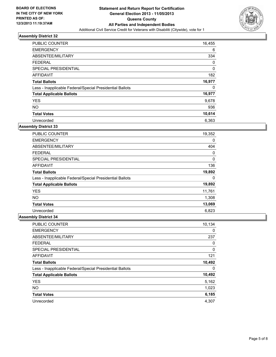

| <b>PUBLIC COUNTER</b>                                    | 16,455   |
|----------------------------------------------------------|----------|
| <b>EMERGENCY</b>                                         | 6        |
| ABSENTEE/MILITARY                                        | 334      |
| <b>FEDERAL</b>                                           | 0        |
| SPECIAL PRESIDENTIAL                                     | $\Omega$ |
| AFFIDAVIT                                                | 182      |
| <b>Total Ballots</b>                                     | 16,977   |
| Less - Inapplicable Federal/Special Presidential Ballots | 0        |
| <b>Total Applicable Ballots</b>                          | 16,977   |
| <b>YES</b>                                               | 9,678    |
| <b>NO</b>                                                | 936      |
| <b>Total Votes</b>                                       | 10,614   |
| Unrecorded                                               | 6,363    |

#### **Assembly District 33**

| <b>PUBLIC COUNTER</b>                                    | 19,352 |
|----------------------------------------------------------|--------|
| <b>EMERGENCY</b>                                         | 0      |
| ABSENTEE/MILITARY                                        | 404    |
| <b>FEDERAL</b>                                           | 0      |
| <b>SPECIAL PRESIDENTIAL</b>                              | 0      |
| AFFIDAVIT                                                | 136    |
| <b>Total Ballots</b>                                     | 19,892 |
| Less - Inapplicable Federal/Special Presidential Ballots | 0      |
| <b>Total Applicable Ballots</b>                          | 19,892 |
| <b>YES</b>                                               | 11,761 |
| <b>NO</b>                                                | 1,308  |
| <b>Total Votes</b>                                       | 13,069 |
| Unrecorded                                               | 6,823  |

| PUBLIC COUNTER                                           | 10,134 |
|----------------------------------------------------------|--------|
| <b>EMERGENCY</b>                                         | 0      |
| ABSENTEE/MILITARY                                        | 237    |
| <b>FEDERAL</b>                                           | 0      |
| SPECIAL PRESIDENTIAL                                     | 0      |
| AFFIDAVIT                                                | 121    |
| <b>Total Ballots</b>                                     | 10,492 |
| Less - Inapplicable Federal/Special Presidential Ballots | 0      |
| <b>Total Applicable Ballots</b>                          | 10,492 |
| <b>YES</b>                                               | 5,162  |
| <b>NO</b>                                                | 1,023  |
| <b>Total Votes</b>                                       | 6,185  |
| Unrecorded                                               | 4,307  |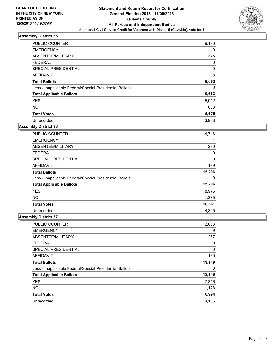

| <b>PUBLIC COUNTER</b>                                    | 9,190 |
|----------------------------------------------------------|-------|
| <b>EMERGENCY</b>                                         | 0     |
| ABSENTEE/MILITARY                                        | 375   |
| <b>FEDERAL</b>                                           | 0     |
| SPECIAL PRESIDENTIAL                                     | 0     |
| AFFIDAVIT                                                | 98    |
| <b>Total Ballots</b>                                     | 9,663 |
| Less - Inapplicable Federal/Special Presidential Ballots | 0     |
| <b>Total Applicable Ballots</b>                          | 9,663 |
| <b>YES</b>                                               | 5,012 |
| <b>NO</b>                                                | 663   |
| <b>Total Votes</b>                                       | 5,675 |
| Unrecorded                                               | 3,988 |

#### **Assembly District 36**

| <b>PUBLIC COUNTER</b>                                    | 14,716 |
|----------------------------------------------------------|--------|
| <b>EMERGENCY</b>                                         |        |
| ABSENTEE/MILITARY                                        | 290    |
| <b>FEDERAL</b>                                           | 0      |
| <b>SPECIAL PRESIDENTIAL</b>                              | 0      |
| AFFIDAVIT                                                | 199    |
| <b>Total Ballots</b>                                     | 15,206 |
| Less - Inapplicable Federal/Special Presidential Ballots | 0      |
| <b>Total Applicable Ballots</b>                          | 15,206 |
| <b>YES</b>                                               | 8,976  |
| <b>NO</b>                                                | 1,385  |
| <b>Total Votes</b>                                       | 10,361 |
| Unrecorded                                               | 4,845  |

| <b>PUBLIC COUNTER</b>                                    | 12,663 |
|----------------------------------------------------------|--------|
| <b>EMERGENCY</b>                                         | 59     |
| ABSENTEE/MILITARY                                        | 267    |
| <b>FEDERAL</b>                                           | 0      |
| SPECIAL PRESIDENTIAL                                     | 0      |
| <b>AFFIDAVIT</b>                                         | 160    |
| <b>Total Ballots</b>                                     | 13,149 |
| Less - Inapplicable Federal/Special Presidential Ballots | 0      |
| <b>Total Applicable Ballots</b>                          | 13,149 |
| <b>YES</b>                                               | 7,816  |
| <b>NO</b>                                                | 1,178  |
| <b>Total Votes</b>                                       | 8,994  |
| Unrecorded                                               | 4,155  |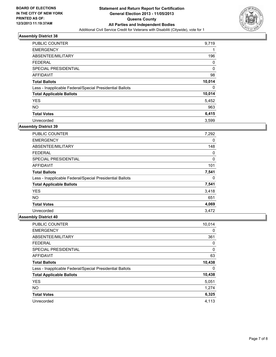

| PUBLIC COUNTER                                           | 9,719  |
|----------------------------------------------------------|--------|
| <b>EMERGENCY</b>                                         |        |
| ABSENTEE/MILITARY                                        | 196    |
| <b>FEDERAL</b>                                           | 0      |
| SPECIAL PRESIDENTIAL                                     | 0      |
| AFFIDAVIT                                                | 98     |
| <b>Total Ballots</b>                                     | 10,014 |
| Less - Inapplicable Federal/Special Presidential Ballots | 0      |
| <b>Total Applicable Ballots</b>                          | 10,014 |
| <b>YES</b>                                               | 5,452  |
| <b>NO</b>                                                | 963    |
| <b>Total Votes</b>                                       | 6,415  |
| Unrecorded                                               | 3,599  |

#### **Assembly District 39**

| PUBLIC COUNTER                                           | 7,292 |
|----------------------------------------------------------|-------|
| <b>EMERGENCY</b>                                         | 0     |
| ABSENTEE/MILITARY                                        | 148   |
| <b>FEDERAL</b>                                           | 0     |
| <b>SPECIAL PRESIDENTIAL</b>                              | 0     |
| AFFIDAVIT                                                | 101   |
| <b>Total Ballots</b>                                     | 7,541 |
| Less - Inapplicable Federal/Special Presidential Ballots | 0     |
| <b>Total Applicable Ballots</b>                          | 7,541 |
| <b>YES</b>                                               | 3,418 |
| <b>NO</b>                                                | 651   |
| <b>Total Votes</b>                                       | 4,069 |
| Unrecorded                                               | 3.472 |

| PUBLIC COUNTER                                           | 10,014 |
|----------------------------------------------------------|--------|
| <b>EMERGENCY</b>                                         | 0      |
| ABSENTEE/MILITARY                                        | 361    |
| <b>FEDERAL</b>                                           | 0      |
| SPECIAL PRESIDENTIAL                                     | 0      |
| AFFIDAVIT                                                | 63     |
| <b>Total Ballots</b>                                     | 10,438 |
| Less - Inapplicable Federal/Special Presidential Ballots | 0      |
| <b>Total Applicable Ballots</b>                          | 10,438 |
| <b>YES</b>                                               | 5,051  |
| <b>NO</b>                                                | 1,274  |
| <b>Total Votes</b>                                       | 6,325  |
| Unrecorded                                               | 4,113  |